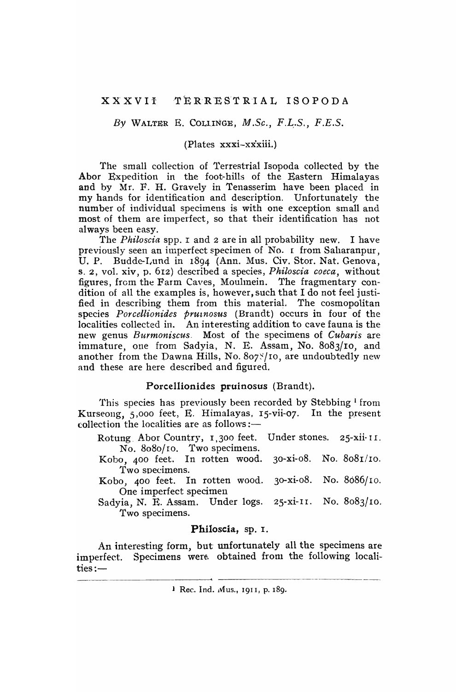*By* WALTER E. COLl.INGE, *M.S.c., F.L,.S., F.E.S.* 

## (Plates xxxi-xxxiii.)

The small collection of Terrestrial Isopoda collected by the Abor Expedition in the foot-hills of the Eastern Himalayas and by Mr. F. H. Gravely in Tenasserim have been placed in my hands for identification and description. Unfortunately the number of individual specimens is with one exception small and most of them are imperfect, so that their identification has not always been easy.

The *Philoscia* spp. I and 2 are in all probability new. I have previously seen an imperfect specimen of No. I: from Saharanpur, U. P. Budde-Lund in 1894 (Ann. Mus. Civ. Stor. Nat. Genova, S. 2, vol. xiv, p. 612) described a species, *Philoscia coeca,* without figures, from the Farm Caves, Moullnein. The fragmentary condition of all the examples is, however, such that I do not feel justified in describing them from this material. The cosmopolitan species *Porcellionides pruznosus* (Brandt) occurs in four of the localities collected in. An interesting addition to cave fauna is the new genus *Burmoniscus.* Most of the specimens of *Cubaris* are immature, one from Sadyia, N. E. Assam, No. 8083/10, and another from the Dawna Hills, No.  $8$ 07 $\frac{8}{7}$ 10, are undoubtedly new and these are here described and figured.

## Porcel1ionides pruinosus (Brandt).

This species has previously been recorded by Stebbing<sup>1</sup> from Kurseong, 5,000 feet, E. Himalayas, IS-vii-07. In the present collection the localities are as follows: $-$ 

Rotung Abor Country, 1,300 feet. Under stones. 25-xii- II. No. 8080/10. Two specimens.

Kobo, 400 feet. In rotten wood. 30-xi-08. No. 808r/lo. Two specimens.

Kobo, 400 feet. In rotten wood. 30-xi-08. No. 8686/10. One imperfect specimen

Sadyia, N. E. Assam. Under logs. 25-xi-II. No. 8083/10. Two specimens.

# Philoscia, sp. I.

An interesting form, but unfortunately all the specimens are imperfect. Specimens were obtained from the following localities:-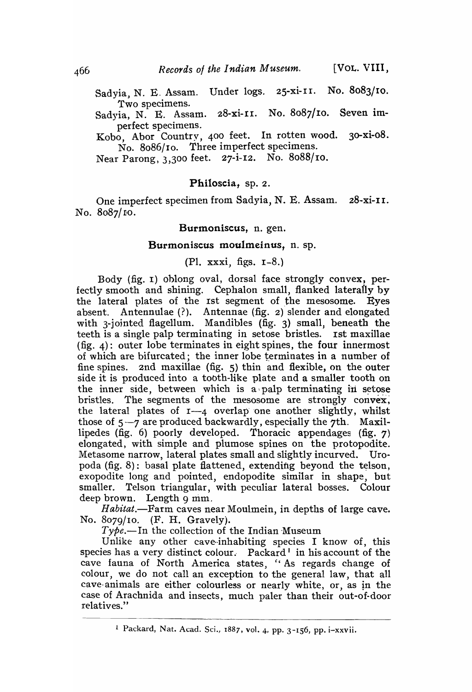Sadyia, N. E. Assam. Under logs, 25-xi-II. No. 8083/IO. Two specimens.

Sadyia, N. E. Assam. 28-xi-II. No. 8087/10. Seven imperfect specimens.

Kobo, Abor Country, 400 feet. In rotten wood. 30-xi-08. No. 8086/10. Three imperfect specimens.

Near Parong, 3,300 feet. 27-i-12. No. 80B8/ro.

# Philoscia, sp. 2.

One imperfect specimen from Sadyia, N. E. Assam. 28-xi-II. No. 8087/10.

#### Burmoniscus, n. gen.

#### Burmoniscus moulmeinus, n. sp.

(PI. xxxi, figs. 1-8.)

Body (fig. I) oblong oval, dorsal face strongly convex, perfectly smooth and shining. Cephalon small, flanked laterafly by the lateral plates of the 1st segment of the mesosome. Eyes absent. Antennulae  $(?)$ . Antennae (fig. 2) slender and elongated with 3-jointed flagellum. Mandibles (fig. 3) small, beneath the teeth is a single palp terminating in setose bristles. 1st maxillae (fig. 4): outer lobe terminates in eight spines, the four innermost of which are bifurcated; the inner lobe terminates in a number of fine spines. 2nd maxillae (fig. 5) thin and flexible, on the outer side it is produced into a tooth-like plate and a smaller tooth on the inner side, between which is a palp terminating in setose bristles. The segments of the mesosome are strongly convex, the lateral plates of  $I_{-4}$  overlap one another slightly, whilst those of  $5-7$  are produced backwardly, especially the 7th. Maxillipedes (fig. 6) poorly developed. Thoracic appendages (fig. 7) elongated, with simple and plumose spines on the protopodite. Metasome narrow, lateral plates small and slightly incurved. Uropoda  $(fig. 8)$ : basal plate flattened, extending beyond the telson, exopodite long and pointed, endopodite similar in shape, but smaller. Telson triangular, with peculiar lateral bosses. Colour deep brown. Length 9 mm.

*Habitat*.—Farm caves near Moulmein, in depths of large cave. No. 8079/10. (F. H. Gravely).

 $Type.$ -In the collection of the Indian Museum

Unlike any other cave-inhabiting species I know of, this species has a very distinct colour. Packard<sup>1</sup> in his account of the cave fauna of North America states, "As regards change of colour, we do not call an exception to the general law, that all cave-animals are either colourless or nearly white, or, as in the case of Arachnida and insects, much paler than their out-of-door relatives."

<sup>!</sup> Packard, Nat. Acad. Sci., 1887, vol. 4, pp. 3-156, pp. i-xxvii.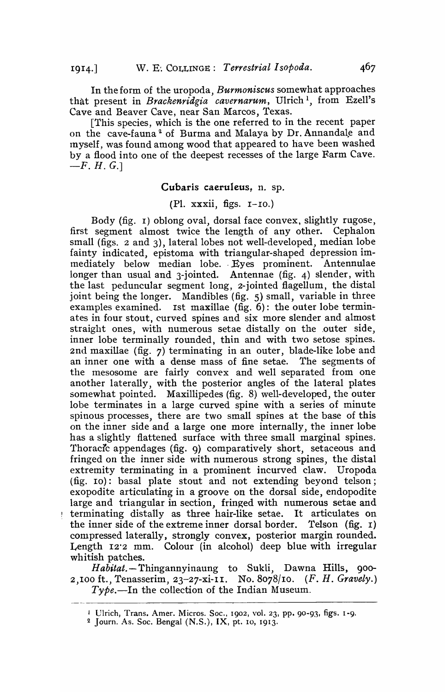In the form of the uropoda, *Burmoniscus* somewhat approaches that present in *Brackenridgia cavernarum,* Ulrich 1, from Ezell's Cave and Beaver Cave, near San Marcos, Texas.

[This species, which is the one referred to in the recent paper on the cave-fauna<sup>2</sup> of Burma and Malaya by Dr. Annandale and inyself, was found among wood that appeared to have been washed by a flood into one of the deepest recesses of the large Farm Cave.  $-F. H. G.$ 

## Cubaris caeruleus, n. sp.

## (PI. xxxii, figs. 1-10.)

Body (fig. I) oblong oval, dorsal face convex, slightly rugose, first segment almost twice the length of any other. Cephalon small (figs. 2 and 3), lateral lobes not well-developed, median lobe fainty indicated, epistoma with triangular-shaped depression immediately below median lobe. Eyes prominent. Antennulae longer than usual and 3-jointed. Antennae (fig. 4) slender, with the last peduncular segment long, 2-jointed flagellum, the distal joint being the longer. Mandibles (fig. 5) small, variable in three examples examined. Ist maxillae (fig. 6): the outer lobe terminates in four stout, curved spines and six more slender and almost straight ones, with numerous setae distally on the outer side, inner lobe terminally rounded, thin and with two setose spines. 2nd maxillae (fig. 7) terminating in an outer, blade-like lobe' and an inner one with a dense mass of fine setae. The segments of the mesosome are fairly convex and well separated from one another laterally, with the posterior angles of the lateral plates somewhat pointed. Maxillipedes (fig. 8) well-developed, the outer lobe terminates in a large curved spine with a series of minute spinous processes, there are two small spines at the base of this on the inner side and a large one more internally, the inner lobe has a slightly flattened surface with three small marginal spines. Thoracic appendages (fig. 9) comparatively short, setaceous and fringed on the inner side with numerous strong spines, the distal extremity terminating in a prominent incurved claw. Uropoda (fig. 10): basal plate stout and not extending beyond telson; exopodite articulating in a groove on the dorsal side, endopodite large and triangular in section, fringed with numerous setae and terminating distally as three hair-like setae. It articulates on the inner side of the extreme inner dorsal border. Telson (fig. 1) the inner side of the extreme inner dorsal border. compressed laterally, strongly convex, posterior margin rounded. Length 12'2 mm. Colour (in alcohol) deep blue with irregular whitish patches.

*Habitat.-* Thingannyinaung to Sukli, Dawna Hills, 900- 2,100 ft., Tenasserim, 23-27-xi-II. No. 8078/10. *(F. H. Gravely.)*   $T y \phi e$ .-In the collection of the Indian Museum.

<sup>&</sup>lt;sup>1</sup> Ulrich, Trans. Amer. Micros. Soc., 1902, vol. 23, pp. 90-93, figs. 1-9.

<sup>2</sup> Journ. As. Soc. Bengal (N.S.), IX, pt. 10, 1913.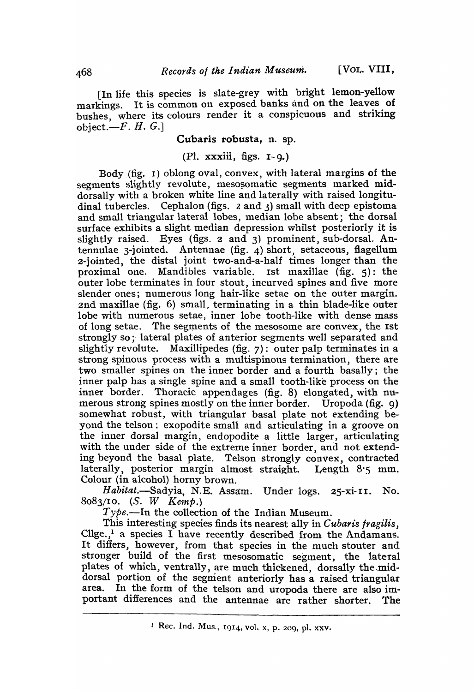[In life this species is slate-grey with bright lemon-yellow markings. It is common on exposed banks and on the leaves of bushes, where its colours render it a conspicuous and striking object. $-F. H. G.$ 

## Cubaris robusta, n. sp.

# (PI. xxxiii, figs. I-g.)

Body (fig. 1) oblong oval, convex, with lateral margins of the segments slightly revolute, mesosomatic segments marked middorsally with a broken white line and laterally with raised longitudinal tubercles. Cephalon (figs.  $\lambda$  and  $\lambda$ ) small with deep epistoma and small triangular lateral lobes, median lobe absent; the dorsal surface exhibits a slight median depression whilst posteriorly it is slightly raised. Eyes (figs. 2 and 3) prominent, sub-dorsal. Antennulae 3-jointed. Antennae (fig. 4) short, setaceous, flagellum 2-jointed, the distal joint two-and-a-half times longer than the proximal one. Mandibles variable. 1st maxillae (fig. 5): the outer lobe terminates in four stout, incurved spines and five more slender ones; numerous long hair-like setae on the outer margin. 2nd maxillae (fig.  $6$ ) small, terminating in a thin blade-like outer lobe with numerous setae, inner lobe tooth-like with dense mass of long setae. The segments of the mesosome are convex, the 1st strongly so; lateral plates of anterior segments well separated and slightly revolute. Maxillipedes (fig. 7): outer palp terminates in a strong spinous process with a multispinous termination, there are two smaller spines on the inner border and a fourth basally; the inner palp has a single spine and a small tooth-like process on the inner border. Thoracic appendages (fig. 8) elongated, with numerous strong spines mostly on the inner border. Uropoda (fig. g) somewhat robust, with triangular basal plate not extending beyond the telson; exopodite small and articulating in a groove on the inner dorsal margin, endopodite a little larger, articulating with the under side of the extreme inner border, and not extending beyond the basal plate. Telson strongly convex, contracted laterally, posterior margin almost straight. Length 8.5 mm. Colour (in alcohol) horny brown.

Habitat.-Sadyia, N.E. Assam. Under logs. 25-xi-II. No. *8083/10.* (S. W Kemp.)

 $Type.$ —In the collection of the Indian Museum.

This interesting species finds its nearest ally in *Cubaris fragilis*, Cllge., $<sup>1</sup>$  a species I have recently described from the Andamans.</sup> It differs, however, from that species in the much stouter and stronger build of the first mesosomatic segment, the lateral plates of which, ventrally, are much thickened, dorsally the.middorsal portion of the segment anteriorly has a raised triangular area. In the form of the telson and uropoda there are also important differences and the antennae are rather shorter. The

 $\perp$  Rec. Ind. Mus., 1914, vol. x, p. 209, pl. xxv.